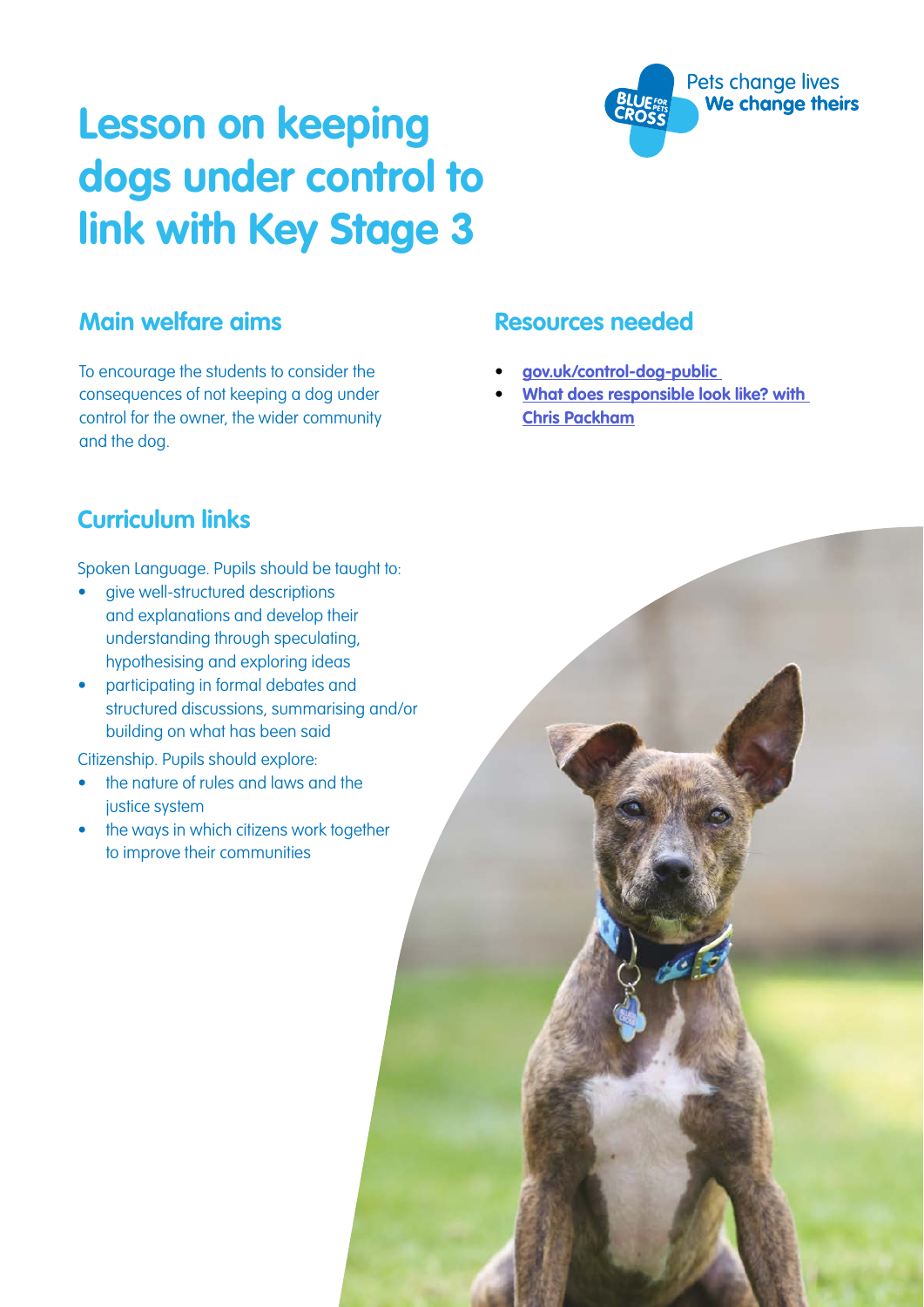# **Lesson on keeping dogs under control to link with Key Stage 3**

#### **Main welfare aims**

To encourage the students to consider the consequences of not keeping a dog under control for the owner, the wider community and the dog.

#### **Resources needed**

- **• [gov.uk/control-dog-public](https://www.gov.uk/control-dog-public)**
- **• [What does responsible look like? with](https://www.youtube.com/watch?v=RSaJdLPQYkE&feature=youtu.be)  [Chris Packham](https://www.youtube.com/watch?v=RSaJdLPQYkE&feature=youtu.be)**

Pets change lives We change theirs

### **Curriculum links**

Spoken Language. Pupils should be taught to:

- give well-structured descriptions and explanations and develop their understanding through speculating, hypothesising and exploring ideas
- participating in formal debates and structured discussions, summarising and/or building on what has been said

Citizenship. Pupils should explore:

- the nature of rules and laws and the justice system
- the ways in which citizens work together to improve their communities

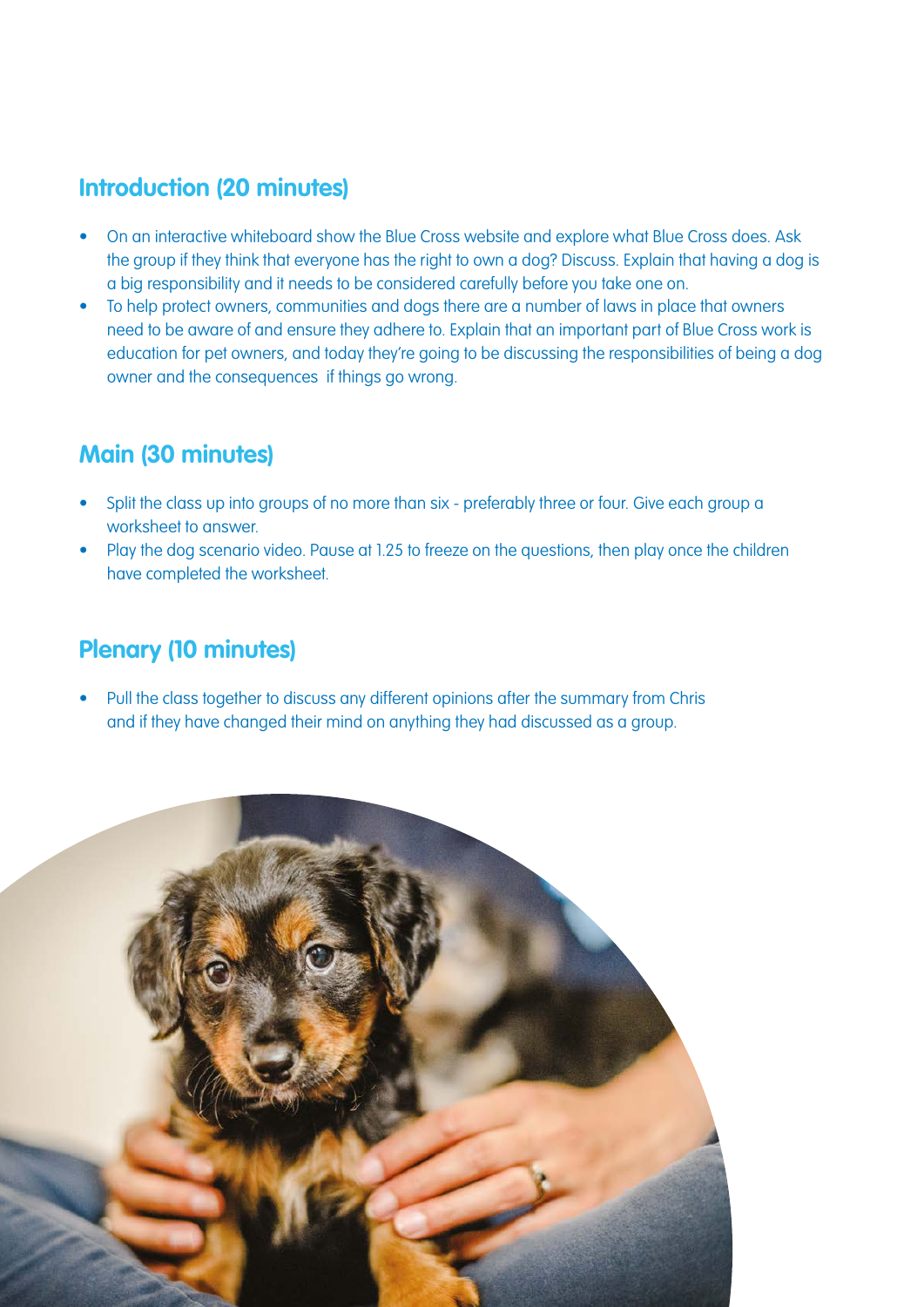#### **Introduction (20 minutes)**

- On an interactive whiteboard show the Blue Cross website and explore what Blue Cross does. Ask the group if they think that everyone has the right to own a dog? Discuss. Explain that having a dog is a big responsibility and it needs to be considered carefully before you take one on.
- To help protect owners, communities and dogs there are a number of laws in place that owners need to be aware of and ensure they adhere to. Explain that an important part of Blue Cross work is education for pet owners, and today they're going to be discussing the responsibilities of being a dog owner and the consequences if things go wrong.

#### **Main (30 minutes)**

- Split the class up into groups of no more than six preferably three or four. Give each group a worksheet to answer.
- Play the dog scenario video. Pause at 1.25 to freeze on the questions, then play once the children have completed the worksheet.

#### **Plenary (10 minutes)**

• Pull the class together to discuss any different opinions after the summary from Chris and if they have changed their mind on anything they had discussed as a group.